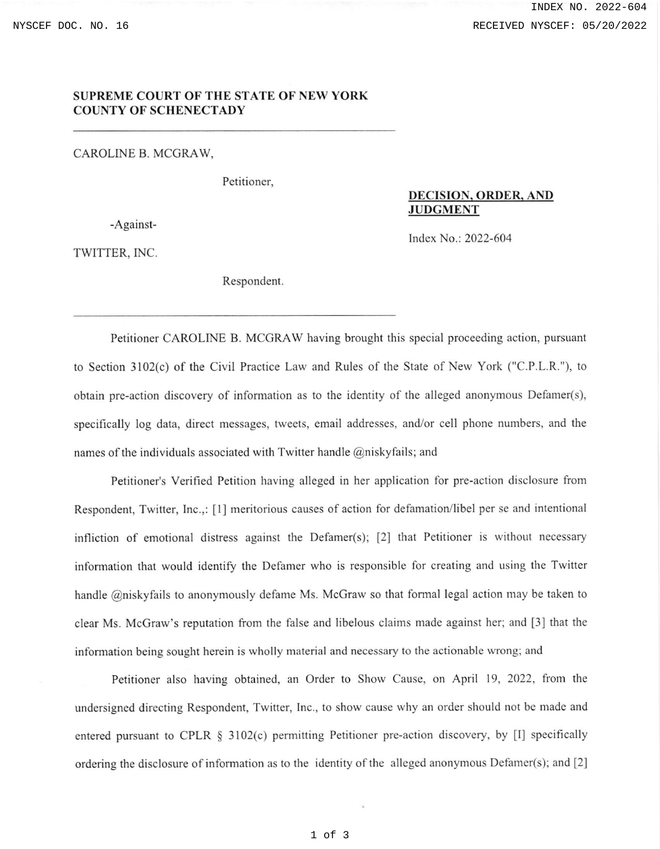## SUPREME COURT OF THE STATE OF NEW YORK COUNTY OF SCHENECTADY

CAROLINE B. MCGRAW,

Petitioner,

-Against-

DECISION. ORDER, AND **JUDGMENT** 

lndex No.: 2022-604

TWITTER, INC.

Respondent

Petitioner CAROLINE B. MCGRAW having brought this special proceeding action, pursuant to Section 3102(c) of the Civil Practice Law and Rules of the State of New York ("C.P.L.R."), to obtain pre-action discovery of information as to the identity of the alleged anonymous Defamer(s), specifically log data, direct messages, tweets, email addresses, and/or cell phone numbers, and the names of the individuals associated with Twitter handle @niskyfails; and

Petitioner's Verified Petition having alleged in her application for pre-action disclosure from Respondent, Twitter, Inc.,: [1] meritorious causes of action for defamation/libel per se and intentional infliction of emotional distress against the Defamer(s);  $[2]$  that Petitioner is without necessary information that would identify the Defamer who is responsible for creating and using the Twitter handle @niskyfails to anonymously defame Ms. McGraw so that formal legal action may be taken to clear Ms. McGraw's reputation fiom the false and libelous claims made against her; and [3] that the information being sought herein is wholly material and necessary to the actionable wrong; and

Petitioner also having obtained, an Order to Show Cause, on April 19, 2022, from the undersigned directing Respondent, Twitter, Inc., to show cause why an order should not be made and entered pursuant to CPLR § 3102(c) permitting Petitioner pre-action discovery, by [I] specifically ordering the disclosure of information as to the identity of the alleged anonymous Defamer(s); and  $[2]$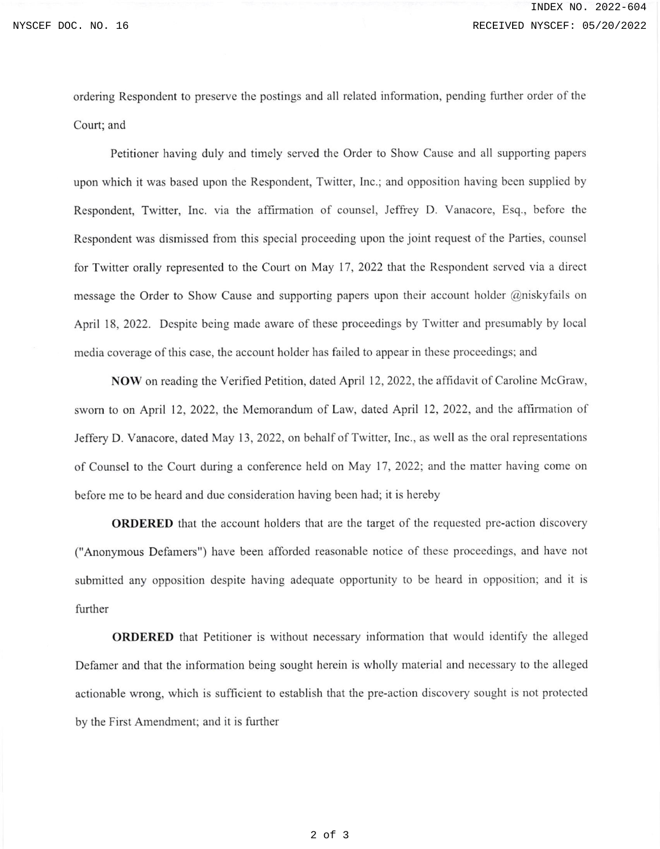ordering Respondent to preserve the postings and all related information, pending further order of the Court; and

Petitioner having duly and timely served the Order to Show Cause and all supporting papers upon which it was based upon the Respondent, Twitter, Inc.; and opposition having becn supplied by Respondent, Twitter, Inc. via the affirmation of counsel, Jeffrey D. Vanacore, Esq., before the Respondent was dismissed from this special proceeding upon the joint request of the Parties, counsel for Twitter orally represented to the Court on May 17, 2022 that the Respondent served via a direct message the Order to Show Cause and supporting papers upon their account holder @niskyfails on April 18, 2022. Dcspite being made aware of these proceedings by Twitter and presumably by local media coverage of this case, the account holder has failed to appear in these proceedings; and

NOW on reading the Verified Petition, dated April 12,2022, the affidavit of Caroline McGraw, sworn to on April 12, 2022, the Memorandum of Law, dated April 12, 2022, and the affirmation of Jeffery D. Vanacore, dated May 13,2022, on behalf of Twitter, Inc., as wcll as the oral representations of Counsel to the Court during a conference held on May 17, 2022; and the matter having come on before me to be heard and due consideration having been had; it is hereby

ORDERED that the account holders that are the target of the requested pre-action discovery ("Anonymous Defamers") have been afforded reasonable notice of these proceedings, and have not submitted any opposition despite having adequate opportunity to be heard in opposition; and it is further

**ORDERED** that Petitioner is without necessary information that would identify the alleged Defamer and that the information being sought herein is wholly material and necessary to the alleged actionable wrong, which is sufficient to establish that the pre-action discovery sought is not protected by the First Amendment; and it is further